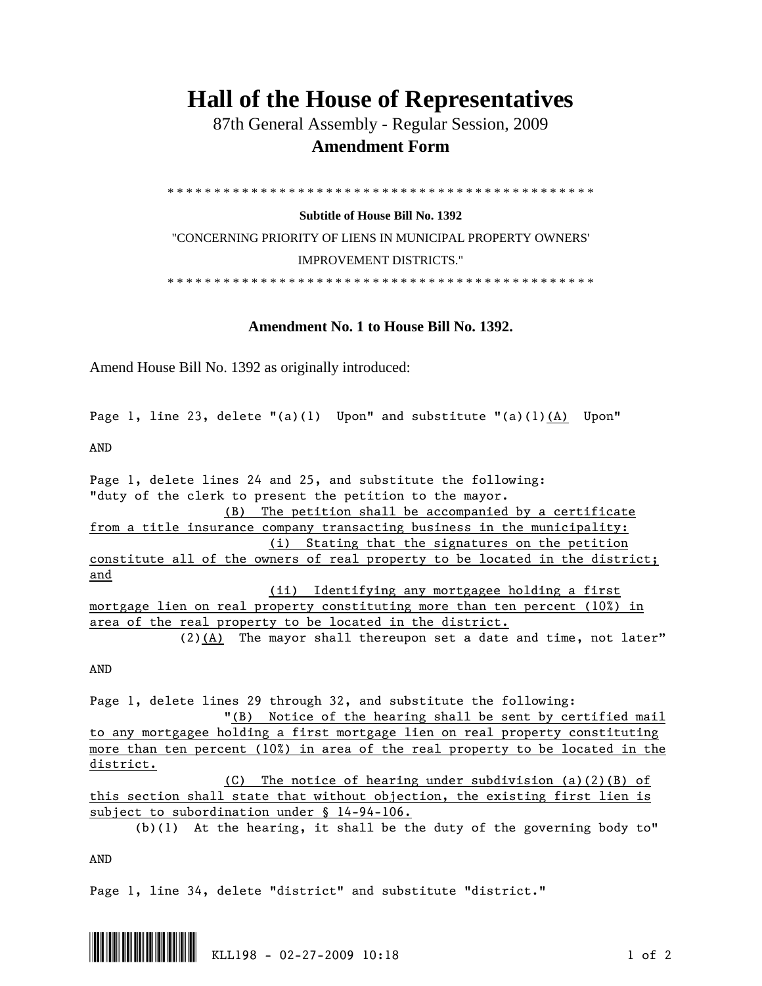## **Hall of the House of Representatives**

 87th General Assembly - Regular Session, 2009  **Amendment Form** 

\* \* \* \* \* \* \* \* \* \* \* \* \* \* \* \* \* \* \* \* \* \* \* \* \* \* \* \* \* \* \* \* \* \* \* \* \* \* \* \* \* \* \* \* \* \*

**Subtitle of House Bill No. 1392** 

"CONCERNING PRIORITY OF LIENS IN MUNICIPAL PROPERTY OWNERS' IMPROVEMENT DISTRICTS."

\* \* \* \* \* \* \* \* \* \* \* \* \* \* \* \* \* \* \* \* \* \* \* \* \* \* \* \* \* \* \* \* \* \* \* \* \* \* \* \* \* \* \* \* \* \*

**Amendment No. 1 to House Bill No. 1392.** 

Amend House Bill No. 1392 as originally introduced:

Page 1, line 23, delete  $"(a)(1)$  Upon" and substitute  $"(a)(1)(A)$  Upon"

AND

Page 1, delete lines 24 and 25, and substitute the following: "duty of the clerk to present the petition to the mayor. (B) The petition shall be accompanied by a certificate from a title insurance company transacting business in the municipality: (i) Stating that the signatures on the petition constitute all of the owners of real property to be located in the district; and (ii) Identifying any mortgagee holding a first mortgage lien on real property constituting more than ten percent (10%) in area of the real property to be located in the district.  $(2)$  (A) The mayor shall thereupon set a date and time, not later"

AND

Page 1, delete lines 29 through 32, and substitute the following: "(B) Notice of the hearing shall be sent by certified mail to any mortgagee holding a first mortgage lien on real property constituting more than ten percent (10%) in area of the real property to be located in the district.

 (C) The notice of hearing under subdivision (a)(2)(B) of this section shall state that without objection, the existing first lien is subject to subordination under § 14-94-106.

(b)(1) At the hearing, it shall be the duty of the governing body to"

AND

Page 1, line 34, delete "district" and substitute "district."